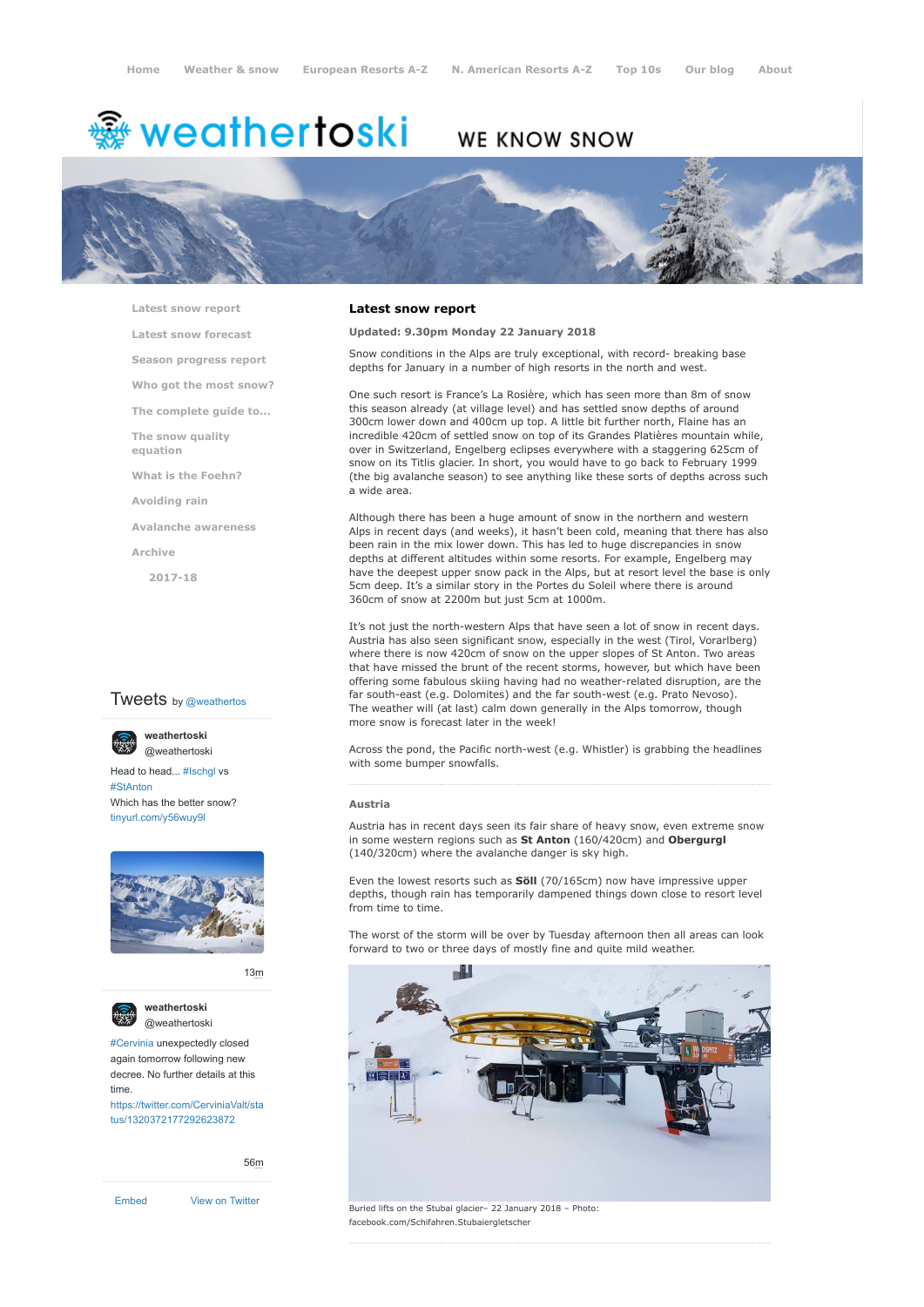# <sup>鑫</sup> weathertoski

## WE KNOW SNOW



**[Latest snow report](https://www.weathertoski.co.uk/weather-snow/latest-snow-report/)**

**[Latest snow forecast](https://www.weathertoski.co.uk/weather-snow/latest-snow-forecast/)**

**[Season progress report](https://www.weathertoski.co.uk/weather-snow/season-progress-report/)**

**[Who got the most snow?](https://www.weathertoski.co.uk/weather-snow/who-got-the-most-snow/)**

**[The complete guide to...](https://www.weathertoski.co.uk/weather-snow/the-complete-guide-to/)**

**[The snow quality](https://www.weathertoski.co.uk/weather-snow/the-snow-quality-equation/)**

**[What is the Foehn?](https://www.weathertoski.co.uk/weather-snow/what-is-the-foehn/)**

**[Avoiding rain](https://www.weathertoski.co.uk/weather-snow/avoiding-rain/)**

**[Avalanche awareness](https://www.weathertoski.co.uk/weather-snow/avalanche-awareness/)**

**[Archive](https://www.weathertoski.co.uk/weather-snow/archive/)**

**equation**

**[2017-18](https://www.weathertoski.co.uk/weather-snow/archive/2017-18/)**

#### **Tweets** by @weathertos



Head to head... [#Ischgl](https://twitter.com/hashtag/Ischgl?src=hash) vs [#StAnton](https://twitter.com/hashtag/StAnton?src=hash) Which has the better snow? [tinyurl.com/y56wuy9l](https://t.co/AeKkyB0N9S)



[13m](https://twitter.com/weathertoski/status/1320387692862050304)



**weathertoski** [@weathertoski](https://twitter.com/weathertoski)

[#Cervinia](https://twitter.com/hashtag/Cervinia?src=hash) unexpectedly closed again tomorrow following new decree. No further details at this time. [https://twitter.com/CerviniaValt/sta](https://twitter.com/CerviniaValt/status/1320372177292623872)

tus/1320372177292623872

[56m](https://twitter.com/weathertoski/status/1320376647305093126)

[Embed](https://publish.twitter.com/?url=https%3A%2F%2Ftwitter.com%2Fweathertoski) [View on Twitter](https://twitter.com/weathertoski)

#### **Latest snow report**

#### **Updated: 9.30pm Monday 22 January 2018**

Snow conditions in the Alps are truly exceptional, with record- breaking base depths for January in a number of high resorts in the north and west.

One such resort is France's La Rosière, which has seen more than 8m of snow this season already (at village level) and has settled snow depths of around 300cm lower down and 400cm up top. A little bit further north, Flaine has an incredible 420cm of settled snow on top of its Grandes Platières mountain while, over in Switzerland, Engelberg eclipses everywhere with a staggering 625cm of snow on its Titlis glacier. In short, you would have to go back to February 1999 (the big avalanche season) to see anything like these sorts of depths across such a wide area.

Although there has been a huge amount of snow in the northern and western Alps in recent days (and weeks), it hasn't been cold, meaning that there has also been rain in the mix lower down. This has led to huge discrepancies in snow depths at different altitudes within some resorts. For example, Engelberg may have the deepest upper snow pack in the Alps, but at resort level the base is only 5cm deep. It's a similar story in the Portes du Soleil where there is around 360cm of snow at 2200m but just 5cm at 1000m.

It's not just the north-western Alps that have seen a lot of snow in recent days. Austria has also seen significant snow, especially in the west (Tirol, Vorarlberg) where there is now 420cm of snow on the upper slopes of St Anton. Two areas that have missed the brunt of the recent storms, however, but which have been offering some fabulous skiing having had no weather-related disruption, are the far south-east (e.g. Dolomites) and the far south-west (e.g. Prato Nevoso). The weather will (at last) calm down generally in the Alps tomorrow, though more snow is forecast later in the week!

Across the pond, the Pacific north-west (e.g. Whistler) is grabbing the headlines with some bumper snowfalls.

#### **Austria**

Austria has in recent days seen its fair share of heavy snow, even extreme snow in some western regions such as **St Anton** (160/420cm) and **Obergurgl** (140/320cm) where the avalanche danger is sky high.

Even the lowest resorts such as **Söll** (70/165cm) now have impressive upper depths, though rain has temporarily dampened things down close to resort level from time to time.

The worst of the storm will be over by Tuesday afternoon then all areas can look forward to two or three days of mostly fine and quite mild weather.

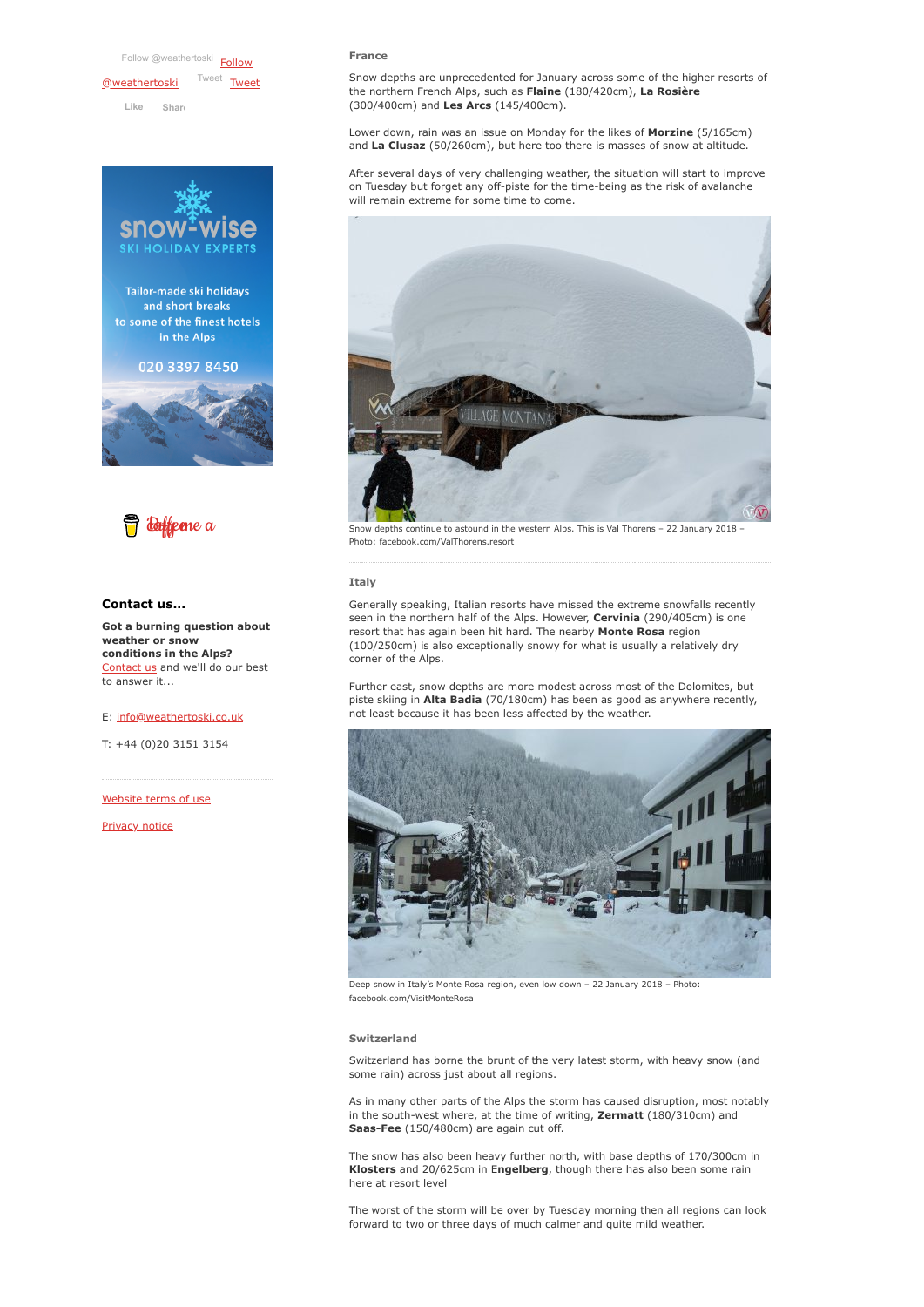[Follow @weathertoski](https://twitter.com/intent/follow?original_referer=https%3A%2F%2Fwww.weathertoski.co.uk%2F&ref_src=twsrc%5Etfw®ion=follow_link&screen_name=weathertoski&tw_p=followbutton) Follow **[@weathertoski](https://twitter.com/weathertoski?ref_src=twsrc%5Etfw)** Iweet [Tweet](https://twitter.com/intent/tweet?original_referer=https%3A%2F%2Fwww.weathertoski.co.uk%2F&ref_src=twsrc%5Etfw&text=Weather%20to%20ski%20-%20Snow%20report%20-%2022%20January%202018&tw_p=tweetbutton&url=https%3A%2F%2Fwww.weathertoski.co.uk%2Fweather-snow%2Farchive%2Fsnow-report-22-january-2018%2F) **Like [Shar](https://www.facebook.com/sharer/sharer.php?u=https%3A%2F%2Fwww.weathertoski.co.uk%2F&display=popup&ref=plugin&src=like&kid_directed_site=0)e**

**HOLIDAY EXPERTS** Tailor-made ski holidays and short breaks to some of the finest hotels in the Alps 020 3397 8450





#### **Contact us...**

**Got a burning question about weather or snow conditions in the Alps?** [Contact us](https://www.weathertoski.co.uk/about-1/contact-us/) and we'll do our best to answer it...

#### E: [info@weathertoski.co.uk](mailto:fraser@weathertoski.co.uk)

T: +44 (0)20 3151 3154

[Website terms of use](https://www.weathertoski.co.uk/about-1/website-terms-of-use/)

[Privacy notice](https://www.weathertoski.co.uk/about-1/privacy-notice/)

#### **France**

Snow depths are unprecedented for January across some of the higher resorts of the northern French Alps, such as **Flaine** (180/420cm), **La Rosière** (300/400cm) and **Les Arcs** (145/400cm).

Lower down, rain was an issue on Monday for the likes of **Morzine** (5/165cm) and **La Clusaz** (50/260cm), but here too there is masses of snow at altitude.

After several days of very challenging weather, the situation will start to improve on Tuesday but forget any off-piste for the time-being as the risk of avalanche will remain extreme for some time to come.



Snow depths continue to astound in the western Alps. This is Val Thorens – 22 January 2018 – Photo: facebook.com/ValThorens.resort

#### **Italy**

Generally speaking, Italian resorts have missed the extreme snowfalls recently seen in the northern half of the Alps. However, **Cervinia** (290/405cm) is one resort that has again been hit hard. The nearby **Monte Rosa** region (100/250cm) is also exceptionally snowy for what is usually a relatively dry corner of the Alps.

Further east, snow depths are more modest across most of the Dolomites, but piste skiing in **Alta Badia** (70/180cm) has been as good as anywhere recently, not least because it has been less affected by the weather.



Deep snow in Italy's Monte Rosa region, even low down – 22 January 2018 – Photo: facebook.com/VisitMonteRosa

#### **Switzerland**

Switzerland has borne the brunt of the very latest storm, with heavy snow (and some rain) across just about all regions.

As in many other parts of the Alps the storm has caused disruption, most notably in the south-west where, at the time of writing, **Zermatt** (180/310cm) and **Saas-Fee** (150/480cm) are again cut off.

The snow has also been heavy further north, with base depths of 170/300cm in **Klosters** and 20/625cm in E**ngelberg**, though there has also been some rain here at resort level

The worst of the storm will be over by Tuesday morning then all regions can look forward to two or three days of much calmer and quite mild weather.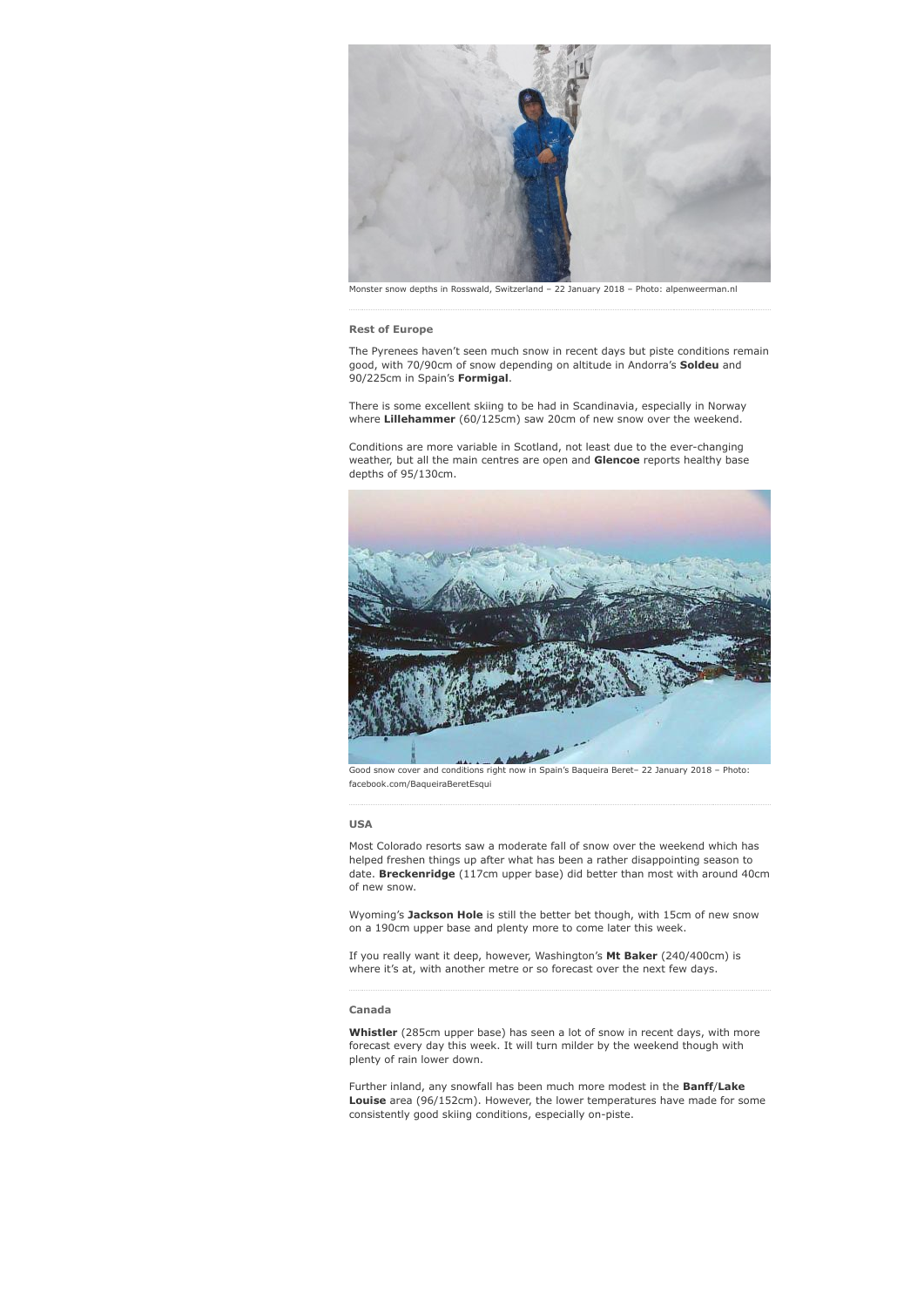

Monster snow depths in Rosswald, Switzerland – 22 January 2018 – Photo: alpenweerman.nl

#### **Rest of Europe**

The Pyrenees haven't seen much snow in recent days but piste conditions remain good, with 70/90cm of snow depending on altitude in Andorra's **Soldeu** and 90/225cm in Spain's **Formigal**.

There is some excellent skiing to be had in Scandinavia, especially in Norway where **Lillehammer** (60/125cm) saw 20cm of new snow over the weekend.

Conditions are more variable in Scotland, not least due to the ever-changing weather, but all the main centres are open and **Glencoe** reports healthy base depths of 95/130cm.



Good snow cover and conditions right now in Spain's Baqueira Beret– 22 January 2018 – Photo: facebook.com/BaqueiraBeretEsqui

#### **USA**

Most Colorado resorts saw a moderate fall of snow over the weekend which has helped freshen things up after what has been a rather disappointing season to date. **Breckenridge** (117cm upper base) did better than most with around 40cm of new snow.

Wyoming's **Jackson Hole** is still the better bet though, with 15cm of new snow on a 190cm upper base and plenty more to come later this week.

If you really want it deep, however, Washington's **Mt Baker** (240/400cm) is where it's at, with another metre or so forecast over the next few days.

### **Canada**

**Whistler** (285cm upper base) has seen a lot of snow in recent days, with more forecast every day this week. It will turn milder by the weekend though with plenty of rain lower down.

Further inland, any snowfall has been much more modest in the **Banff**/**Lake Louise** area (96/152cm). However, the lower temperatures have made for some consistently good skiing conditions, especially on-piste.